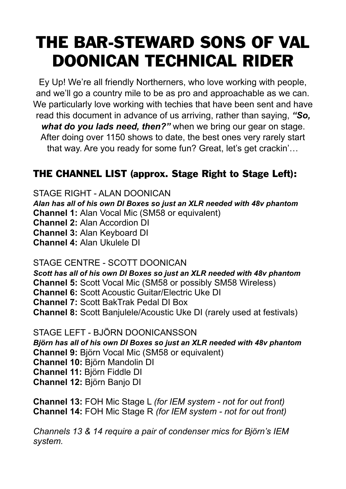## THE BAR-STEWARD SONS OF VAL DOONICAN TECHNICAL RIDER

Ey Up! We're all friendly Northerners, who love working with people, and we'll go a country mile to be as pro and approachable as we can. We particularly love working with techies that have been sent and have read this document in advance of us arriving, rather than saying, *"So, what do you lads need, then?"* when we bring our gear on stage. After doing over 1150 shows to date, the best ones very rarely start that way. Are you ready for some fun? Great, let's get crackin'…

#### THE CHANNEL LIST (approx. Stage Right to Stage Left):

STAGE RIGHT - ALAN DOONICAN *Alan has all of his own DI Boxes so just an XLR needed with 48v phantom* **Channel 1:** Alan Vocal Mic (SM58 or equivalent) **Channel 2:** Alan Accordion DI **Channel 3:** Alan Keyboard DI **Channel 4:** Alan Ukulele DI

#### STAGE CENTRE - SCOTT DOONICAN

*Scott has all of his own DI Boxes so just an XLR needed with 48v phantom* **Channel 5:** Scott Vocal Mic (SM58 or possibly SM58 Wireless) **Channel 6:** Scott Acoustic Guitar/Electric Uke DI **Channel 7:** Scott BakTrak Pedal DI Box **Channel 8:** Scott Banjulele/Acoustic Uke DI (rarely used at festivals)

STAGE LEFT - BJÖRN DOONICANSSON *Björn has all of his own DI Boxes so just an XLR needed with 48v phantom* **Channel 9:** Björn Vocal Mic (SM58 or equivalent) **Channel 10:** Björn Mandolin DI **Channel 11:** Björn Fiddle DI **Channel 12:** Björn Banjo DI

**Channel 13:** FOH Mic Stage L *(for IEM system - not for out front)* **Channel 14:** FOH Mic Stage R *(for IEM system - not for out front)*

*Channels 13 & 14 require a pair of condenser mics for Björn's IEM system.*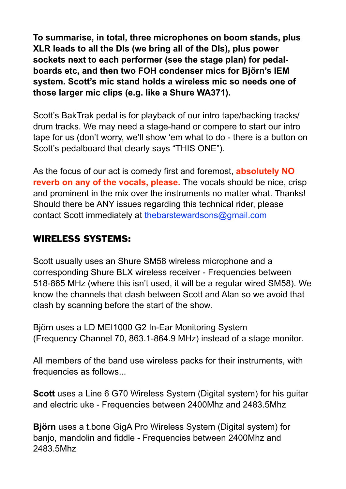**To summarise, in total, three microphones on boom stands, plus XLR leads to all the DIs (we bring all of the DIs), plus power sockets next to each performer (see the stage plan) for pedalboards etc, and then two FOH condenser mics for Björn's IEM system. Scott's mic stand holds a wireless mic so needs one of those larger mic clips (e.g. like a Shure WA371).** 

Scott's BakTrak pedal is for playback of our intro tape/backing tracks/ drum tracks. We may need a stage-hand or compere to start our intro tape for us (don't worry, we'll show 'em what to do - there is a button on Scott's pedalboard that clearly says "THIS ONE").

As the focus of our act is comedy first and foremost, **absolutely NO reverb on any of the vocals, please.** The vocals should be nice, crisp and prominent in the mix over the instruments no matter what. Thanks! Should there be ANY issues regarding this technical rider, please contact Scott immediately at thebarstewardsons@gmail.com

#### WIRELESS SYSTEMS:

Scott usually uses an Shure SM58 wireless microphone and a corresponding Shure BLX wireless receiver - Frequencies between 518-865 MHz (where this isn't used, it will be a regular wired SM58). We know the channels that clash between Scott and Alan so we avoid that clash by scanning before the start of the show.

Björn uses a LD MEI1000 G2 In-Ear Monitoring System (Frequency Channel 70, 863.1-864.9 MHz) instead of a stage monitor.

All members of the band use wireless packs for their instruments, with frequencies as follows...

**Scott** uses a Line 6 G70 Wireless System (Digital system) for his guitar and electric uke - Frequencies between 2400Mhz and 2483.5Mhz

**Björn** uses a t.bone GigA Pro Wireless System (Digital system) for banjo, mandolin and fiddle - Frequencies between 2400Mhz and 2483.5Mhz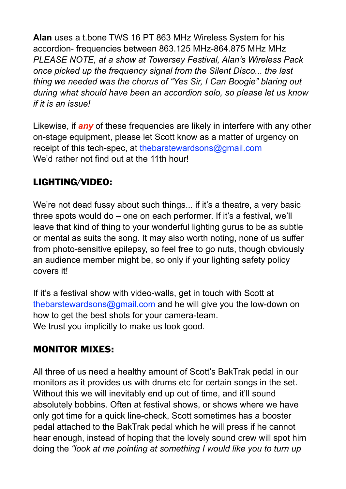**Alan** uses a t.bone TWS 16 PT 863 MHz Wireless System for his accordion- frequencies between 863.125 MHz-864.875 MHz MHz *PLEASE NOTE, at a show at Towersey Festival, Alan's Wireless Pack once picked up the frequency signal from the Silent Disco... the last thing we needed was the chorus of "Yes Sir, I Can Boogie" blaring out during what should have been an accordion solo, so please let us know if it is an issue!* 

Likewise, if *any* of these frequencies are likely in interfere with any other on-stage equipment, please let Scott know as a matter of urgency on receipt of this tech-spec, at the barstewardsons@gmail.com We'd rather not find out at the 11th hour!

#### LIGHTING/VIDEO:

We're not dead fussy about such things... if it's a theatre, a very basic three spots would do – one on each performer. If it's a festival, we'll leave that kind of thing to your wonderful lighting gurus to be as subtle or mental as suits the song. It may also worth noting, none of us suffer from photo-sensitive epilepsy, so feel free to go nuts, though obviously an audience member might be, so only if your lighting safety policy covers it!

If it's a festival show with video-walls, get in touch with Scott at [thebarstewardsons@gmail.com](mailto:thebarstewardsons@gmail.com) and he will give you the low-down on how to get the best shots for your camera-team. We trust you implicitly to make us look good.

#### MONITOR MIXES:

All three of us need a healthy amount of Scott's BakTrak pedal in our monitors as it provides us with drums etc for certain songs in the set. Without this we will inevitably end up out of time, and it'll sound absolutely bobbins. Often at festival shows, or shows where we have only got time for a quick line-check, Scott sometimes has a booster pedal attached to the BakTrak pedal which he will press if he cannot hear enough, instead of hoping that the lovely sound crew will spot him doing the *"look at me pointing at something I would like you to turn up*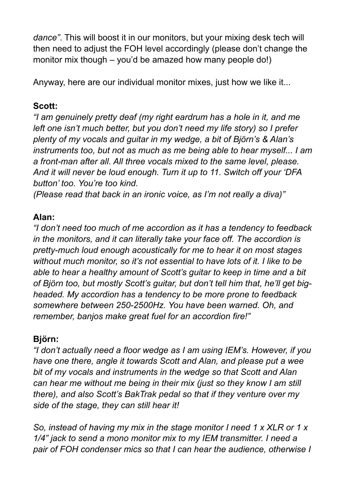*dance"*. This will boost it in our monitors, but your mixing desk tech will then need to adjust the FOH level accordingly (please don't change the monitor mix though – you'd be amazed how many people do!)

Anyway, here are our individual monitor mixes, just how we like it...

#### **Scott:**

*"I am genuinely pretty deaf (my right eardrum has a hole in it, and me left one isn't much better, but you don't need my life story) so I prefer plenty of my vocals and guitar in my wedge, a bit of Björn's & Alan's instruments too, but not as much as me being able to hear myself... I am a front-man after all. All three vocals mixed to the same level, please. And it will never be loud enough. Turn it up to 11. Switch off your 'DFA button' too. You're too kind.* 

*(Please read that back in an ironic voice, as I'm not really a diva)"* 

#### **Alan:**

*"I don't need too much of me accordion as it has a tendency to feedback in the monitors, and it can literally take your face off. The accordion is pretty-much loud enough acoustically for me to hear it on most stages without much monitor, so it's not essential to have lots of it. I like to be able to hear a healthy amount of Scott's guitar to keep in time and a bit of Björn too, but mostly Scott's guitar, but don't tell him that, he'll get bigheaded. My accordion has a tendency to be more prone to feedback somewhere between 250-2500Hz. You have been warned. Oh, and remember, banjos make great fuel for an accordion fire!"*

#### **Björn:**

*"I don't actually need a floor wedge as I am using IEM's. However, if you have one there, angle it towards Scott and Alan, and please put a wee bit of my vocals and instruments in the wedge so that Scott and Alan can hear me without me being in their mix (just so they know I am still there), and also Scott's BakTrak pedal so that if they venture over my side of the stage, they can still hear it!* 

*So, instead of having my mix in the stage monitor I need 1 x XLR or 1 x 1/4" jack to send a mono monitor mix to my IEM transmitter. I need a pair of FOH condenser mics so that I can hear the audience, otherwise I*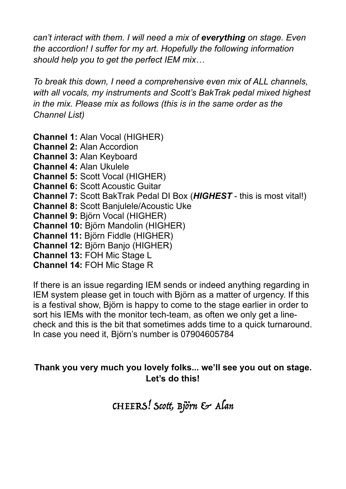*can't interact with them. I will need a mix of everything on stage. Even the accordion! I suffer for my art. Hopefully the following information should help you to get the perfect IEM mix…* 

*To break this down, I need a comprehensive even mix of ALL channels, with all vocals, my instruments and Scott's BakTrak pedal mixed highest in the mix. Please mix as follows (this is in the same order as the Channel List)* 

**Channel 1:** Alan Vocal (HIGHER) **Channel 2:** Alan Accordion **Channel 3:** Alan Keyboard **Channel 4:** Alan Ukulele **Channel 5:** Scott Vocal (HIGHER) **Channel 6:** Scott Acoustic Guitar **Channel 7:** Scott BakTrak Pedal DI Box (*HIGHEST* - this is most vital!) **Channel 8:** Scott Banjulele/Acoustic Uke **Channel 9:** Björn Vocal (HIGHER) **Channel 10:** Björn Mandolin (HIGHER) **Channel 11:** Björn Fiddle (HIGHER) **Channel 12:** Björn Banjo (HIGHER) **Channel 13:** FOH Mic Stage L **Channel 14:** FOH Mic Stage R

If there is an issue regarding IEM sends or indeed anything regarding in IEM system please get in touch with Björn as a matter of urgency. If this is a festival show, Björn is happy to come to the stage earlier in order to sort his IEMs with the monitor tech-team, as often we only get a linecheck and this is the bit that sometimes adds time to a quick turnaround. In case you need it, Björn's number is 07904605784

#### **Thank you very much you lovely folks... we'll see you out on stage. Let's do this!**

CHEERS! Scott, Björn & Alan